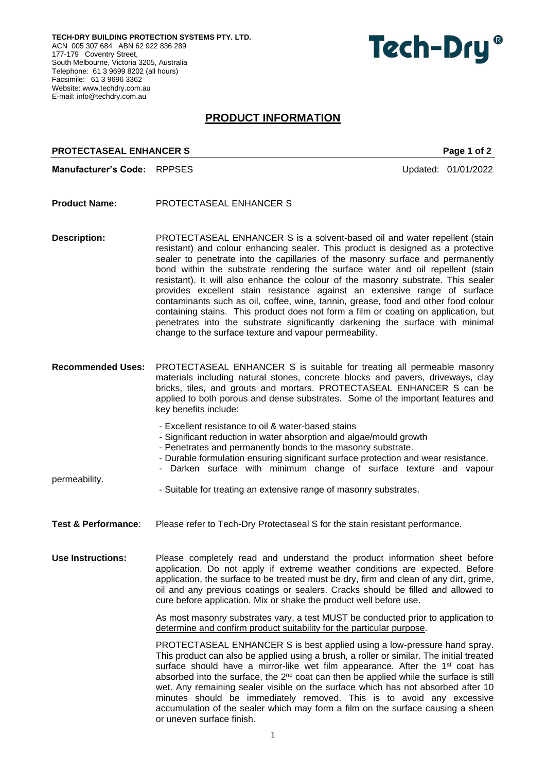**TECH-DRY BUILDING PROTECTION SYSTEMS PTY. LTD.** ACN 005 307 684 ABN 62 922 836 289 177-179 Coventry Street, South Melbourne, Victoria 3205, Australia Telephone: 61 3 9699 8202 (all hours) Facsimile: 61 3 9696 3362 Website: [www.techdry.com.au](http://www.techdry.com.au/) E-mail: [info@techdry.com.au](mailto:info@techdry.com.au)

# Tech-Dry<sup>®</sup>

# **PRODUCT INFORMATION**

## **PROTECTASEAL ENHANCER S** PROTECTAS Page 1 of 2

**Manufacturer's Code:** RPPSES Updated: 01/01/2022

- **Product Name:** PROTECTASEAL ENHANCER S
- **Description:** PROTECTASEAL ENHANCER S is a solvent-based oil and water repellent (stain resistant) and colour enhancing sealer. This product is designed as a protective sealer to penetrate into the capillaries of the masonry surface and permanently bond within the substrate rendering the surface water and oil repellent (stain resistant). It will also enhance the colour of the masonry substrate. This sealer provides excellent stain resistance against an extensive range of surface contaminants such as oil, coffee, wine, tannin, grease, food and other food colour containing stains. This product does not form a film or coating on application, but penetrates into the substrate significantly darkening the surface with minimal change to the surface texture and vapour permeability.
- **Recommended Uses:** PROTECTASEAL ENHANCER S is suitable for treating all permeable masonry materials including natural stones, concrete blocks and pavers, driveways, clay bricks, tiles, and grouts and mortars. PROTECTASEAL ENHANCER S can be applied to both porous and dense substrates. Some of the important features and key benefits include:
	- Excellent resistance to oil & water-based stains
	- Significant reduction in water absorption and algae/mould growth
	- Penetrates and permanently bonds to the masonry substrate.
	- Durable formulation ensuring significant surface protection and wear resistance.
	- Darken surface with minimum change of surface texture and vapour

permeability.

- Suitable for treating an extensive range of masonry substrates.
- **Test & Performance**: Please refer to Tech-Dry Protectaseal S for the stain resistant performance.
- **Use Instructions:** Please completely read and understand the product information sheet before application. Do not apply if extreme weather conditions are expected. Before application, the surface to be treated must be dry, firm and clean of any dirt, grime, oil and any previous coatings or sealers. Cracks should be filled and allowed to cure before application. Mix or shake the product well before use.

As most masonry substrates vary, a test MUST be conducted prior to application to determine and confirm product suitability for the particular purpose.

PROTECTASEAL ENHANCER S is best applied using a low-pressure hand spray. This product can also be applied using a brush, a roller or similar. The initial treated surface should have a mirror-like wet film appearance. After the  $1<sup>st</sup>$  coat has absorbed into the surface, the  $2<sup>nd</sup>$  coat can then be applied while the surface is still wet. Any remaining sealer visible on the surface which has not absorbed after 10 minutes should be immediately removed. This is to avoid any excessive accumulation of the sealer which may form a film on the surface causing a sheen or uneven surface finish.